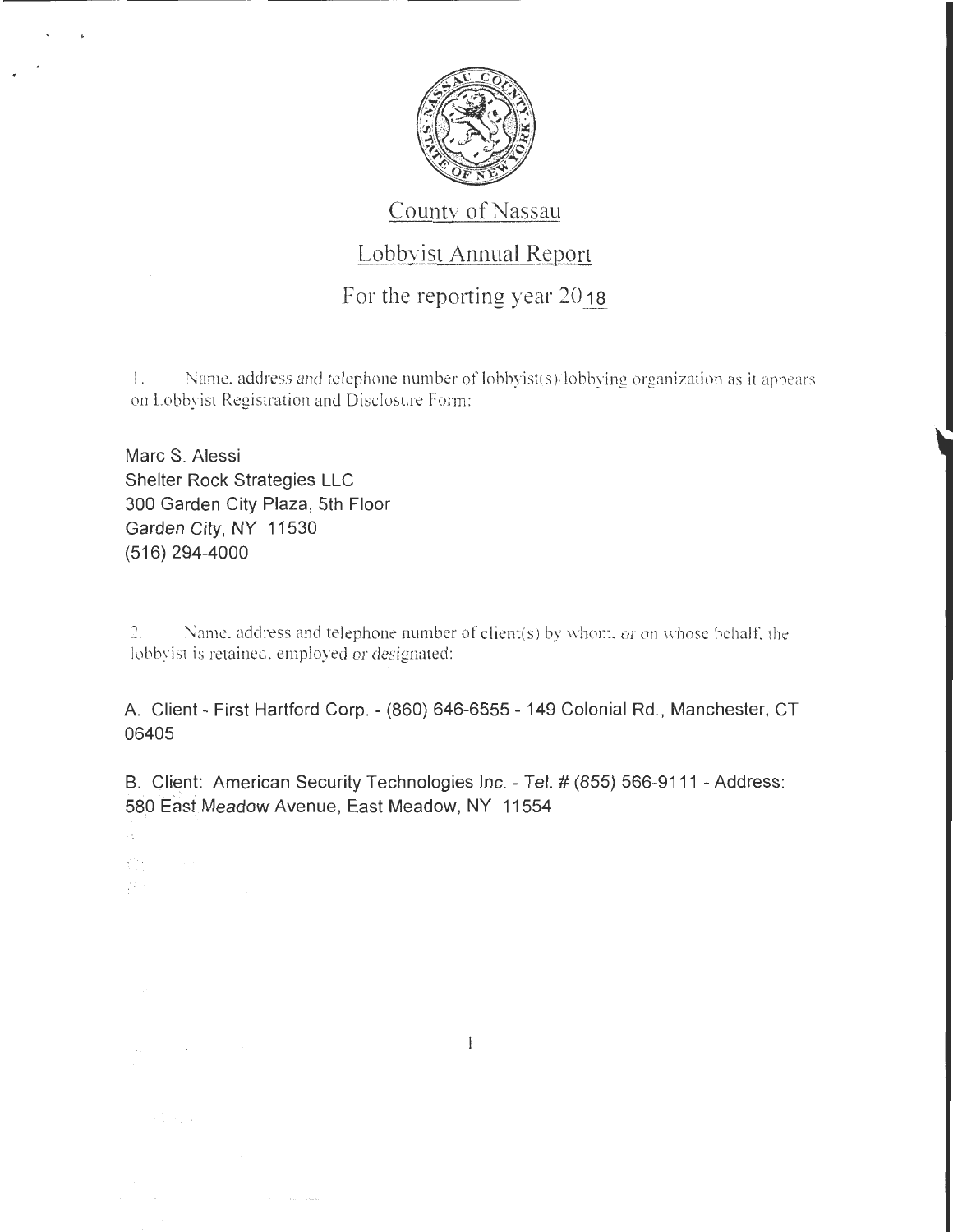

## County of Nassau

## Lobbyist Annual Report

For the reporting year 2018

1. Name. address and telephone number of lobbyist(s)/lobbying organization as it appears on Lobbyist Registration and Disclosure Form:

Marc S. Alessi Shelter Rock Strategies LLC 300 Garden City Plaza, 5th Floor Garden City, NY 11530 (516) 294-4000

 $\mathcal{A}^{(1)}$  $\chi^{0.5}(\tau)$  .

2. Name. address and telephone number of client(s) by whom. or on whose behalf. the lobbyist is retained. employed or designated:

A. Client - First Hartford Corp. - (860) 646-6555- 149 Colonial Rd ., Manchester, CT 06405

B. Client: American Security Technologies Inc. - Tel. # (855) 566-9111 - Address: 580 East Meadow Avenue, East Meadow, NY 11554

 $\mathbf{1}$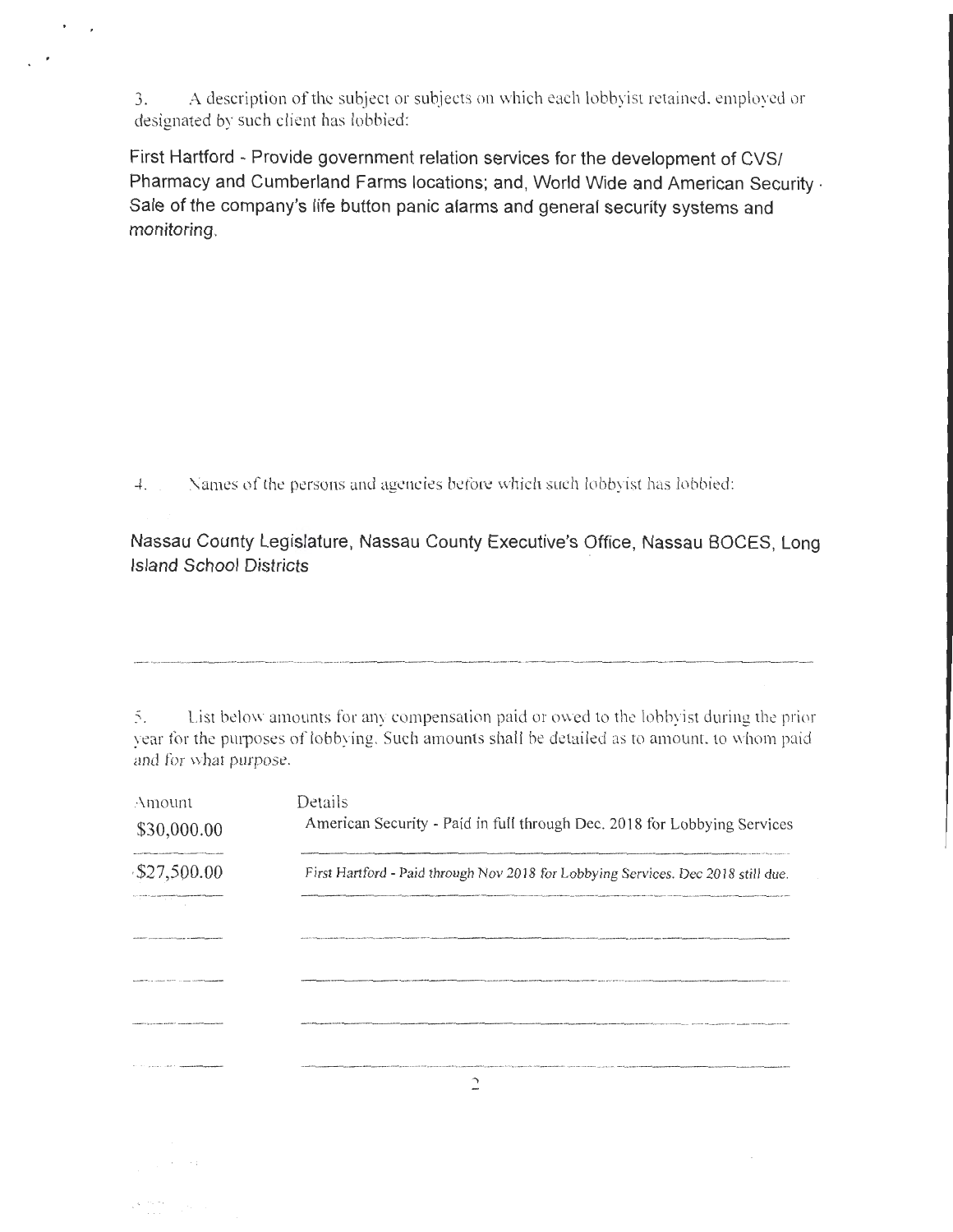3. A description of the subject or subjects on which each lobbyist retained, employed or designated by such client has lobbied:

First Hartford - Provide government relation services for the development of CVS/ Pharmacy and Cumberland Farms locations; and, World Wide and American Security. Sale of the company's life button panic alarms and general security systems and monitoring.

4. Names of the persons and agencies before which such lobbyist has lobbied:

Nassau County Legislature, Nassau County Executive's Office, Nassau BOCES, Long Island School Districts

5. List below amounts for any compensation paid or owed to the lobbyist during the prior year for the purposes of lobbying. Such amounts shall be detailed as to amount, to whom paid and for what purpose.

| Amount<br>\$30,000.00                   | Details<br>American Security - Paid in full through Dec. 2018 for Lobbying Services |  |
|-----------------------------------------|-------------------------------------------------------------------------------------|--|
| \$27,500.00<br>the contract of the con- | First Hartford - Paid through Nov 2018 for Lobbying Services. Dec 2018 still due.   |  |
|                                         |                                                                                     |  |
|                                         |                                                                                     |  |
|                                         |                                                                                     |  |
|                                         |                                                                                     |  |

 $\cdot$  . .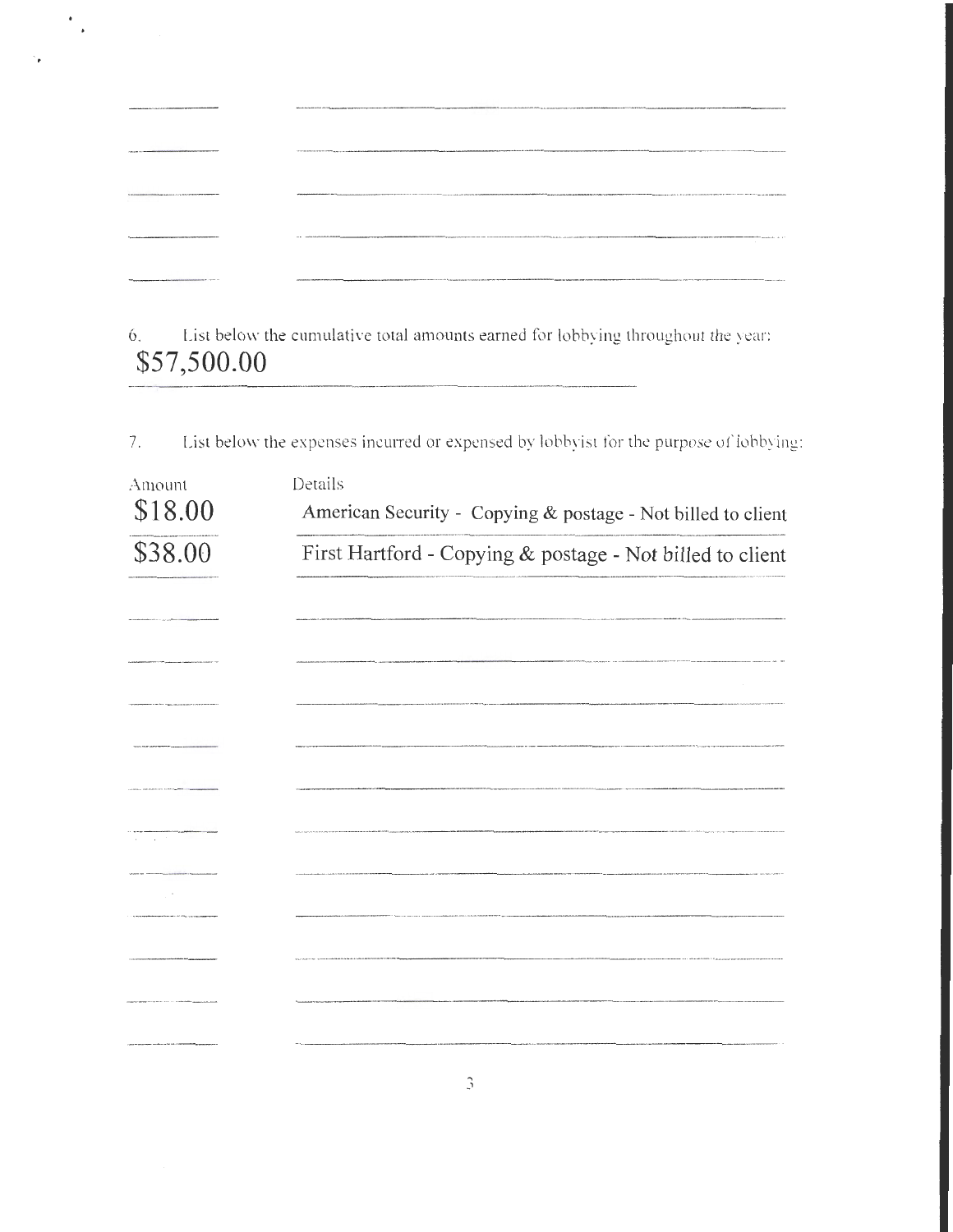| ALARANG MAY AT THE THE THE REAL PROPERTY AND RELEASED FOR THE RELEASED FOR THE REAL PROPERTY.                                                                                                                                  | Novel hoteld distribution of the international and and an excess and information of the international and access and access the company of the international and access and access and access an excess and access and access         |
|--------------------------------------------------------------------------------------------------------------------------------------------------------------------------------------------------------------------------------|---------------------------------------------------------------------------------------------------------------------------------------------------------------------------------------------------------------------------------------|
| And the same of the complete and the complete and the complete and the complete and the complete and the complete and the complete and the complete and the complete and the complete and complete and complete and complete a |                                                                                                                                                                                                                                       |
| VALUATION CONTINUES AND PROTECTIVE CONTINUES AND RESIDENCE OF THE CONTINUES.                                                                                                                                                   | AN ANNOUNCEMENT SEE THE RELEASE OF THE RELEASE AND RELEASED FOR THE RELEASE AND RELEASE THE RELEASE OF THE RELEASE AND ARREST AND THE RELEASED FOR THE RELEASED FOR THE RELEASED FOR THE RELEASED FOR THE RELEASED FOR THE REL        |
| <b>MALLAN LIMATERIALTY OF THE RESISTANT MARKET COMPANY</b>                                                                                                                                                                     | A 4 A DISTURBATION CONTINUES INTO A RESERVE THE OWNER WAS ARRESTED FOR THE RELEASED FOR THE RELEASED FOR THE CONTINUES INTO A RELEASED FOR THE CONTINUES INTO A RELEASED FOR THE CONTINUES OF THE CONTINUES INTO A RELEASED FO<br>. . |
| PRESENTATION PRESENTED THE ENTIRE ENTERTAINMENT CONTINUES IN ENTIRE                                                                                                                                                            | APPROXIMATERY FOR EXCHAPTIONS AND RESEARCH THE RESEARCH THE SECTION OF THE RESEARCH THEORY OF THE RESEARCH THEORY APPROXIMATERY APPROXIMATERY OF THE SECTION OF THE CONTENTION OF THE CONTENTION OF THE CONTENTION OF THE CONT        |

 $\frac{1}{\sqrt{2}}$ 

6. List below the cumulative total amounts earned for lobbying throughout the year: **\$57,500.00** 

7. List below the expenses incurred or expensed by lobbyist for the purpose of lobbying:

| Amount<br>\$18.00 | Details<br>American Security - Copying & postage - Not billed to client |  |  |
|-------------------|-------------------------------------------------------------------------|--|--|
| \$38.00           | First Hartford - Copying & postage - Not billed to client               |  |  |
|                   |                                                                         |  |  |
|                   |                                                                         |  |  |
|                   |                                                                         |  |  |
|                   |                                                                         |  |  |
|                   |                                                                         |  |  |
|                   |                                                                         |  |  |
| and a state       |                                                                         |  |  |
| <b>Contract</b>   |                                                                         |  |  |
|                   |                                                                         |  |  |
|                   |                                                                         |  |  |
|                   |                                                                         |  |  |